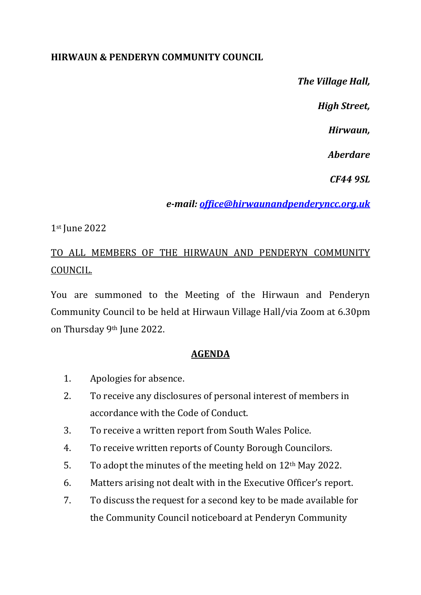## **HIRWAUN & PENDERYN COMMUNITY COUNCIL**

*The Village Hall,*

*High Street,* 

*Hirwaun,*

*Aberdare*

*CF44 9SL*

*e-mail: [office@hirwaunandpenderyncc.org.uk](mailto:office@hirwaunandpenderyncc.org.uk)*

## 1st June 2022

## TO ALL MEMBERS OF THE HIRWAUN AND PENDERYN COMMUNITY COUNCIL.

You are summoned to the Meeting of the Hirwaun and Penderyn Community Council to be held at Hirwaun Village Hall/via Zoom at 6.30pm on Thursday 9th June 2022.

## **AGENDA**

- 1. Apologies for absence.
- 2. To receive any disclosures of personal interest of members in accordance with the Code of Conduct.
- 3. To receive a written report from South Wales Police.
- 4. To receive written reports of County Borough Councilors.
- 5. To adopt the minutes of the meeting held on  $12<sup>th</sup>$  May 2022.
- 6. Matters arising not dealt with in the Executive Officer's report.
- 7. To discuss the request for a second key to be made available for the Community Council noticeboard at Penderyn Community